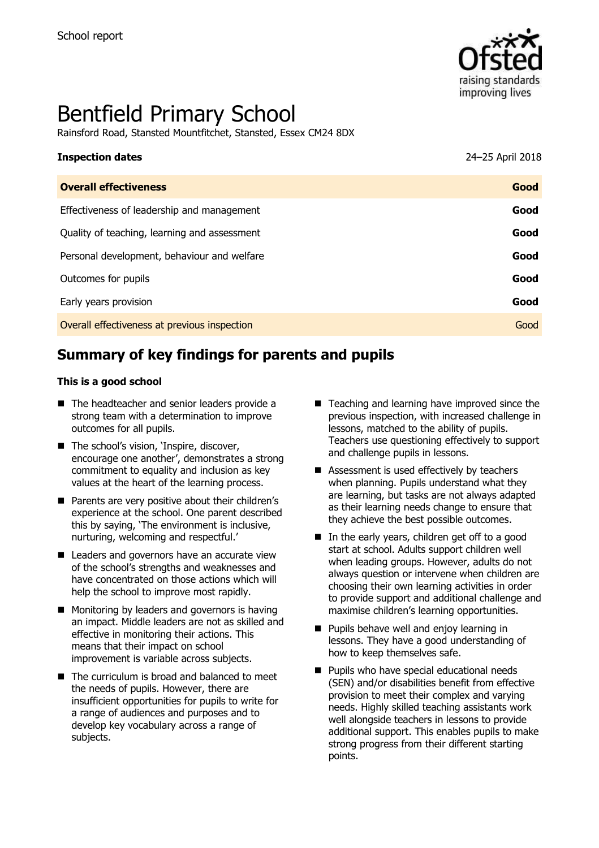

# Bentfield Primary School

Rainsford Road, Stansted Mountfitchet, Stansted, Essex CM24 8DX

| <b>Inspection dates</b>                      | 24-25 April 2018 |
|----------------------------------------------|------------------|
| <b>Overall effectiveness</b>                 | Good             |
| Effectiveness of leadership and management   | Good             |
| Quality of teaching, learning and assessment | Good             |
| Personal development, behaviour and welfare  | Good             |
| Outcomes for pupils                          | Good             |
| Early years provision                        | Good             |
| Overall effectiveness at previous inspection | Good             |

# **Summary of key findings for parents and pupils**

#### **This is a good school**

- The headteacher and senior leaders provide a strong team with a determination to improve outcomes for all pupils.
- The school's vision, 'Inspire, discover, encourage one another', demonstrates a strong commitment to equality and inclusion as key values at the heart of the learning process.
- **Parents are very positive about their children's** experience at the school. One parent described this by saying, 'The environment is inclusive, nurturing, welcoming and respectful.'
- Leaders and governors have an accurate view of the school's strengths and weaknesses and have concentrated on those actions which will help the school to improve most rapidly.
- $\blacksquare$  Monitoring by leaders and governors is having an impact. Middle leaders are not as skilled and effective in monitoring their actions. This means that their impact on school improvement is variable across subjects.
- The curriculum is broad and balanced to meet the needs of pupils. However, there are insufficient opportunities for pupils to write for a range of audiences and purposes and to develop key vocabulary across a range of subjects.
- Teaching and learning have improved since the previous inspection, with increased challenge in lessons, matched to the ability of pupils. Teachers use questioning effectively to support and challenge pupils in lessons.
- Assessment is used effectively by teachers when planning. Pupils understand what they are learning, but tasks are not always adapted as their learning needs change to ensure that they achieve the best possible outcomes.
- In the early years, children get off to a good start at school. Adults support children well when leading groups. However, adults do not always question or intervene when children are choosing their own learning activities in order to provide support and additional challenge and maximise children's learning opportunities.
- **Pupils behave well and enjoy learning in** lessons. They have a good understanding of how to keep themselves safe.
- **Pupils who have special educational needs** (SEN) and/or disabilities benefit from effective provision to meet their complex and varying needs. Highly skilled teaching assistants work well alongside teachers in lessons to provide additional support. This enables pupils to make strong progress from their different starting points.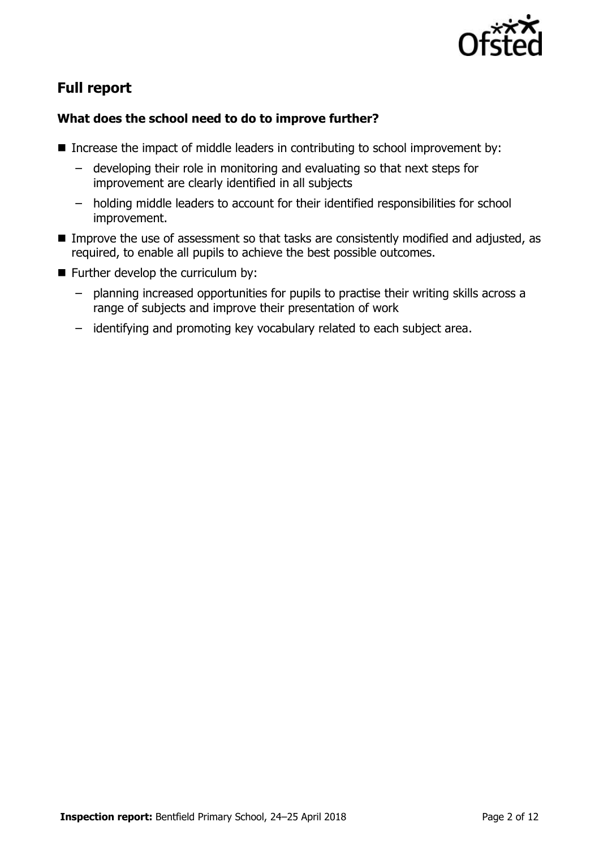

# **Full report**

### **What does the school need to do to improve further?**

- Increase the impact of middle leaders in contributing to school improvement by:
	- developing their role in monitoring and evaluating so that next steps for improvement are clearly identified in all subjects
	- holding middle leaders to account for their identified responsibilities for school improvement.
- Improve the use of assessment so that tasks are consistently modified and adjusted, as required, to enable all pupils to achieve the best possible outcomes.
- **Further develop the curriculum by:** 
	- planning increased opportunities for pupils to practise their writing skills across a range of subjects and improve their presentation of work
	- identifying and promoting key vocabulary related to each subject area.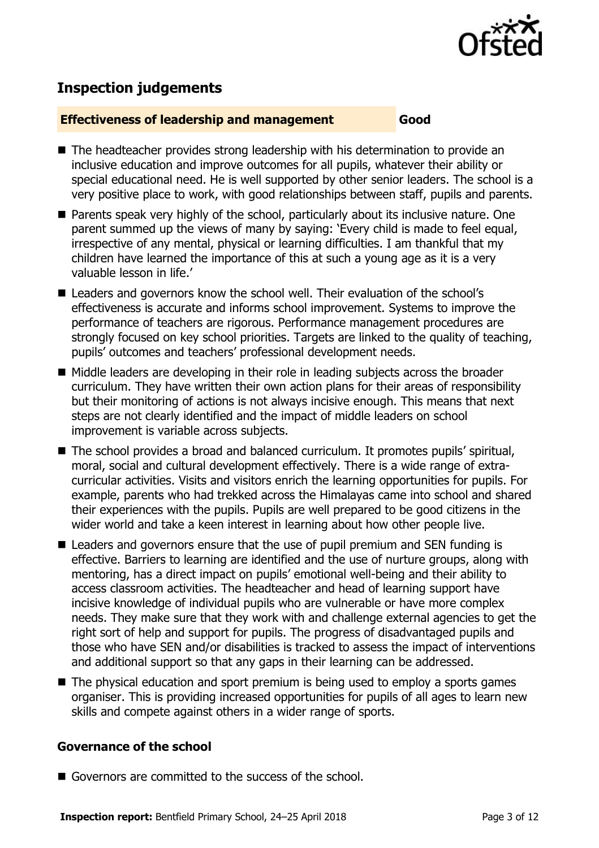

# **Inspection judgements**

#### **Effectiveness of leadership and management Good**

- The headteacher provides strong leadership with his determination to provide an inclusive education and improve outcomes for all pupils, whatever their ability or special educational need. He is well supported by other senior leaders. The school is a very positive place to work, with good relationships between staff, pupils and parents.
- Parents speak very highly of the school, particularly about its inclusive nature. One parent summed up the views of many by saying: 'Every child is made to feel equal, irrespective of any mental, physical or learning difficulties. I am thankful that my children have learned the importance of this at such a young age as it is a very valuable lesson in life.'
- Leaders and governors know the school well. Their evaluation of the school's effectiveness is accurate and informs school improvement. Systems to improve the performance of teachers are rigorous. Performance management procedures are strongly focused on key school priorities. Targets are linked to the quality of teaching, pupils' outcomes and teachers' professional development needs.
- Middle leaders are developing in their role in leading subjects across the broader curriculum. They have written their own action plans for their areas of responsibility but their monitoring of actions is not always incisive enough. This means that next steps are not clearly identified and the impact of middle leaders on school improvement is variable across subjects.
- The school provides a broad and balanced curriculum. It promotes pupils' spiritual, moral, social and cultural development effectively. There is a wide range of extracurricular activities. Visits and visitors enrich the learning opportunities for pupils. For example, parents who had trekked across the Himalayas came into school and shared their experiences with the pupils. Pupils are well prepared to be good citizens in the wider world and take a keen interest in learning about how other people live.
- Leaders and governors ensure that the use of pupil premium and SEN funding is effective. Barriers to learning are identified and the use of nurture groups, along with mentoring, has a direct impact on pupils' emotional well-being and their ability to access classroom activities. The headteacher and head of learning support have incisive knowledge of individual pupils who are vulnerable or have more complex needs. They make sure that they work with and challenge external agencies to get the right sort of help and support for pupils. The progress of disadvantaged pupils and those who have SEN and/or disabilities is tracked to assess the impact of interventions and additional support so that any gaps in their learning can be addressed.
- The physical education and sport premium is being used to employ a sports games organiser. This is providing increased opportunities for pupils of all ages to learn new skills and compete against others in a wider range of sports.

#### **Governance of the school**

Governors are committed to the success of the school.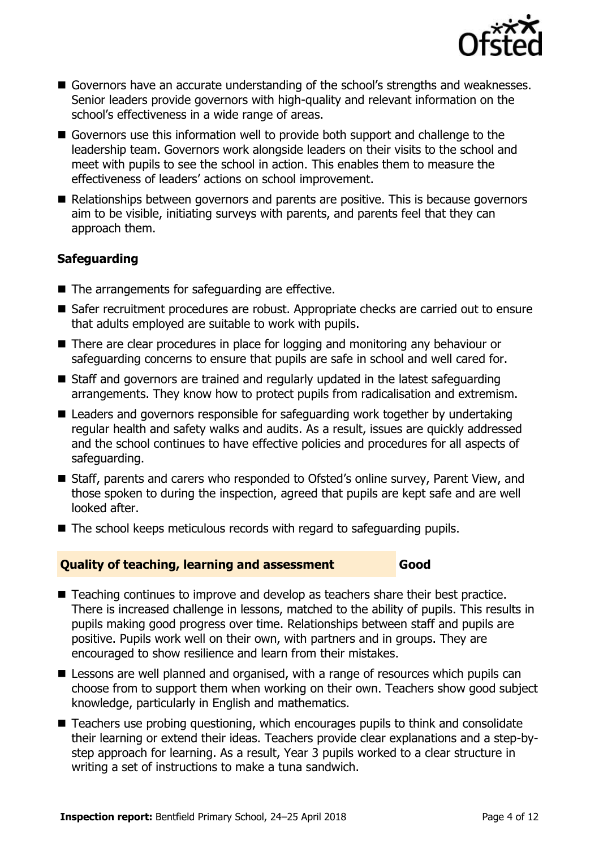

- Governors have an accurate understanding of the school's strengths and weaknesses. Senior leaders provide governors with high-quality and relevant information on the school's effectiveness in a wide range of areas.
- Governors use this information well to provide both support and challenge to the leadership team. Governors work alongside leaders on their visits to the school and meet with pupils to see the school in action. This enables them to measure the effectiveness of leaders' actions on school improvement.
- Relationships between governors and parents are positive. This is because governors aim to be visible, initiating surveys with parents, and parents feel that they can approach them.

### **Safeguarding**

- The arrangements for safeguarding are effective.
- Safer recruitment procedures are robust. Appropriate checks are carried out to ensure that adults employed are suitable to work with pupils.
- There are clear procedures in place for logging and monitoring any behaviour or safeguarding concerns to ensure that pupils are safe in school and well cared for.
- Staff and governors are trained and regularly updated in the latest safeguarding arrangements. They know how to protect pupils from radicalisation and extremism.
- Leaders and governors responsible for safeguarding work together by undertaking regular health and safety walks and audits. As a result, issues are quickly addressed and the school continues to have effective policies and procedures for all aspects of safeguarding.
- Staff, parents and carers who responded to Ofsted's online survey, Parent View, and those spoken to during the inspection, agreed that pupils are kept safe and are well looked after.
- $\blacksquare$  The school keeps meticulous records with regard to safeguarding pupils.

#### **Quality of teaching, learning and assessment Good**

- Teaching continues to improve and develop as teachers share their best practice. There is increased challenge in lessons, matched to the ability of pupils. This results in pupils making good progress over time. Relationships between staff and pupils are positive. Pupils work well on their own, with partners and in groups. They are encouraged to show resilience and learn from their mistakes.
- **E** Lessons are well planned and organised, with a range of resources which pupils can choose from to support them when working on their own. Teachers show good subject knowledge, particularly in English and mathematics.
- Teachers use probing questioning, which encourages pupils to think and consolidate their learning or extend their ideas. Teachers provide clear explanations and a step-bystep approach for learning. As a result, Year 3 pupils worked to a clear structure in writing a set of instructions to make a tuna sandwich.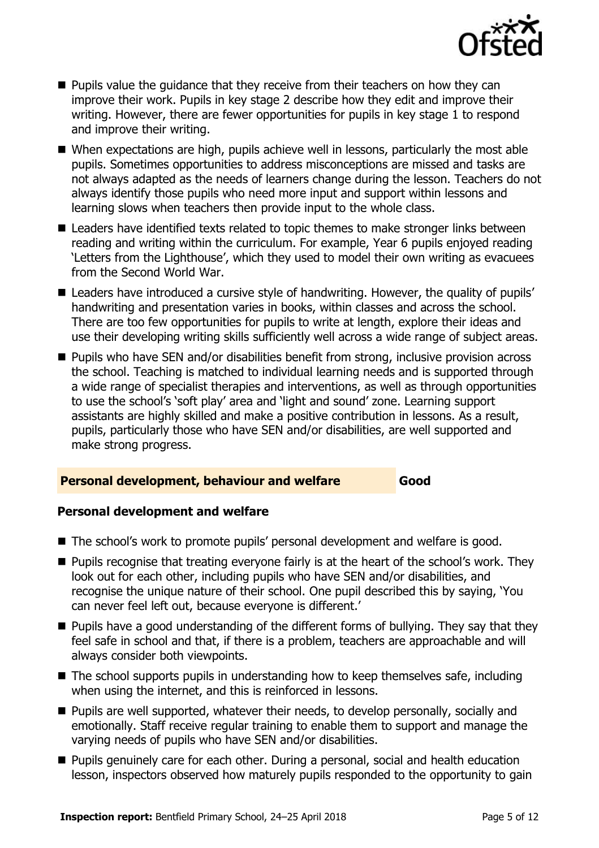

- $\blacksquare$  Pupils value the guidance that they receive from their teachers on how they can improve their work. Pupils in key stage 2 describe how they edit and improve their writing. However, there are fewer opportunities for pupils in key stage 1 to respond and improve their writing.
- When expectations are high, pupils achieve well in lessons, particularly the most able pupils. Sometimes opportunities to address misconceptions are missed and tasks are not always adapted as the needs of learners change during the lesson. Teachers do not always identify those pupils who need more input and support within lessons and learning slows when teachers then provide input to the whole class.
- Leaders have identified texts related to topic themes to make stronger links between reading and writing within the curriculum. For example, Year 6 pupils enjoyed reading 'Letters from the Lighthouse', which they used to model their own writing as evacuees from the Second World War.
- Leaders have introduced a cursive style of handwriting. However, the quality of pupils' handwriting and presentation varies in books, within classes and across the school. There are too few opportunities for pupils to write at length, explore their ideas and use their developing writing skills sufficiently well across a wide range of subject areas.
- Pupils who have SEN and/or disabilities benefit from strong, inclusive provision across the school. Teaching is matched to individual learning needs and is supported through a wide range of specialist therapies and interventions, as well as through opportunities to use the school's 'soft play' area and 'light and sound' zone. Learning support assistants are highly skilled and make a positive contribution in lessons. As a result, pupils, particularly those who have SEN and/or disabilities, are well supported and make strong progress.

#### **Personal development, behaviour and welfare Good**

#### **Personal development and welfare**

- The school's work to promote pupils' personal development and welfare is good.
- **Pupils recognise that treating everyone fairly is at the heart of the school's work. They** look out for each other, including pupils who have SEN and/or disabilities, and recognise the unique nature of their school. One pupil described this by saying, 'You can never feel left out, because everyone is different.'
- **Pupils have a good understanding of the different forms of bullying. They say that they** feel safe in school and that, if there is a problem, teachers are approachable and will always consider both viewpoints.
- $\blacksquare$  The school supports pupils in understanding how to keep themselves safe, including when using the internet, and this is reinforced in lessons.
- Pupils are well supported, whatever their needs, to develop personally, socially and emotionally. Staff receive regular training to enable them to support and manage the varying needs of pupils who have SEN and/or disabilities.
- **Pupils genuinely care for each other. During a personal, social and health education** lesson, inspectors observed how maturely pupils responded to the opportunity to gain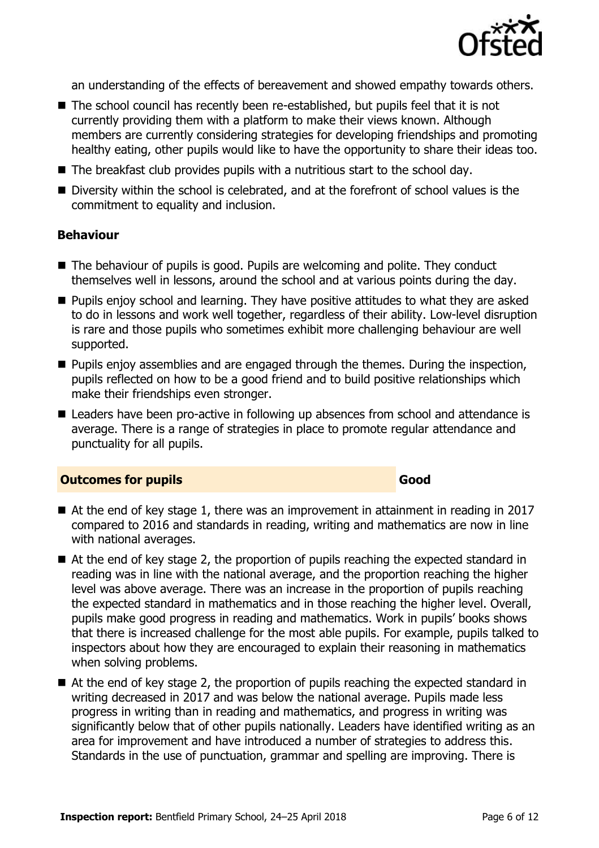

an understanding of the effects of bereavement and showed empathy towards others.

- The school council has recently been re-established, but pupils feel that it is not currently providing them with a platform to make their views known. Although members are currently considering strategies for developing friendships and promoting healthy eating, other pupils would like to have the opportunity to share their ideas too.
- The breakfast club provides pupils with a nutritious start to the school day.
- Diversity within the school is celebrated, and at the forefront of school values is the commitment to equality and inclusion.

#### **Behaviour**

- The behaviour of pupils is good. Pupils are welcoming and polite. They conduct themselves well in lessons, around the school and at various points during the day.
- **Pupils enjoy school and learning. They have positive attitudes to what they are asked** to do in lessons and work well together, regardless of their ability. Low-level disruption is rare and those pupils who sometimes exhibit more challenging behaviour are well supported.
- **Pupils enjoy assemblies and are engaged through the themes. During the inspection,** pupils reflected on how to be a good friend and to build positive relationships which make their friendships even stronger.
- Leaders have been pro-active in following up absences from school and attendance is average. There is a range of strategies in place to promote regular attendance and punctuality for all pupils.

#### **Outcomes for pupils Good**

- At the end of key stage 1, there was an improvement in attainment in reading in 2017 compared to 2016 and standards in reading, writing and mathematics are now in line with national averages.
- At the end of key stage 2, the proportion of pupils reaching the expected standard in reading was in line with the national average, and the proportion reaching the higher level was above average. There was an increase in the proportion of pupils reaching the expected standard in mathematics and in those reaching the higher level. Overall, pupils make good progress in reading and mathematics. Work in pupils' books shows that there is increased challenge for the most able pupils. For example, pupils talked to inspectors about how they are encouraged to explain their reasoning in mathematics when solving problems.
- At the end of key stage 2, the proportion of pupils reaching the expected standard in writing decreased in 2017 and was below the national average. Pupils made less progress in writing than in reading and mathematics, and progress in writing was significantly below that of other pupils nationally. Leaders have identified writing as an area for improvement and have introduced a number of strategies to address this. Standards in the use of punctuation, grammar and spelling are improving. There is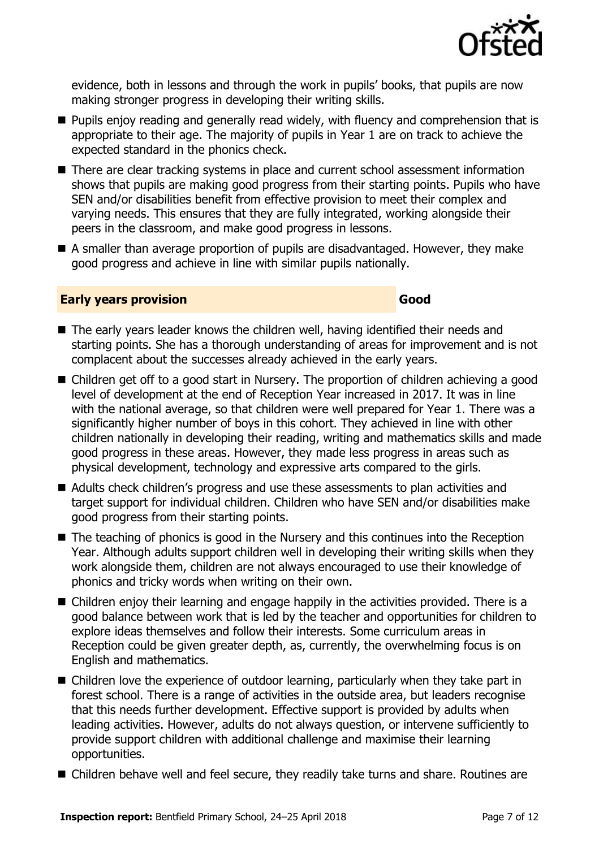

evidence, both in lessons and through the work in pupils' books, that pupils are now making stronger progress in developing their writing skills.

- **Pupils enjoy reading and generally read widely, with fluency and comprehension that is** appropriate to their age. The majority of pupils in Year 1 are on track to achieve the expected standard in the phonics check.
- There are clear tracking systems in place and current school assessment information shows that pupils are making good progress from their starting points. Pupils who have SEN and/or disabilities benefit from effective provision to meet their complex and varying needs. This ensures that they are fully integrated, working alongside their peers in the classroom, and make good progress in lessons.
- A smaller than average proportion of pupils are disadvantaged. However, they make good progress and achieve in line with similar pupils nationally.

#### **Early years provision Good Good**

- The early years leader knows the children well, having identified their needs and starting points. She has a thorough understanding of areas for improvement and is not complacent about the successes already achieved in the early years.
- Children get off to a good start in Nursery. The proportion of children achieving a good level of development at the end of Reception Year increased in 2017. It was in line with the national average, so that children were well prepared for Year 1. There was a significantly higher number of boys in this cohort. They achieved in line with other children nationally in developing their reading, writing and mathematics skills and made good progress in these areas. However, they made less progress in areas such as physical development, technology and expressive arts compared to the girls.
- Adults check children's progress and use these assessments to plan activities and target support for individual children. Children who have SEN and/or disabilities make good progress from their starting points.
- The teaching of phonics is good in the Nursery and this continues into the Reception Year. Although adults support children well in developing their writing skills when they work alongside them, children are not always encouraged to use their knowledge of phonics and tricky words when writing on their own.
- Children enjoy their learning and engage happily in the activities provided. There is a good balance between work that is led by the teacher and opportunities for children to explore ideas themselves and follow their interests. Some curriculum areas in Reception could be given greater depth, as, currently, the overwhelming focus is on English and mathematics.
- Children love the experience of outdoor learning, particularly when they take part in forest school. There is a range of activities in the outside area, but leaders recognise that this needs further development. Effective support is provided by adults when leading activities. However, adults do not always question, or intervene sufficiently to provide support children with additional challenge and maximise their learning opportunities.
- Children behave well and feel secure, they readily take turns and share. Routines are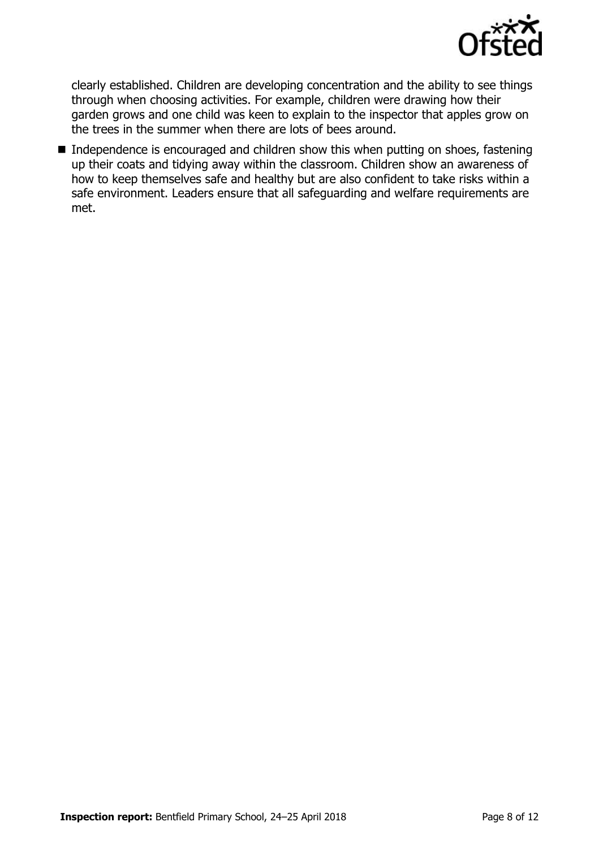

clearly established. Children are developing concentration and the ability to see things through when choosing activities. For example, children were drawing how their garden grows and one child was keen to explain to the inspector that apples grow on the trees in the summer when there are lots of bees around.

■ Independence is encouraged and children show this when putting on shoes, fastening up their coats and tidying away within the classroom. Children show an awareness of how to keep themselves safe and healthy but are also confident to take risks within a safe environment. Leaders ensure that all safeguarding and welfare requirements are met.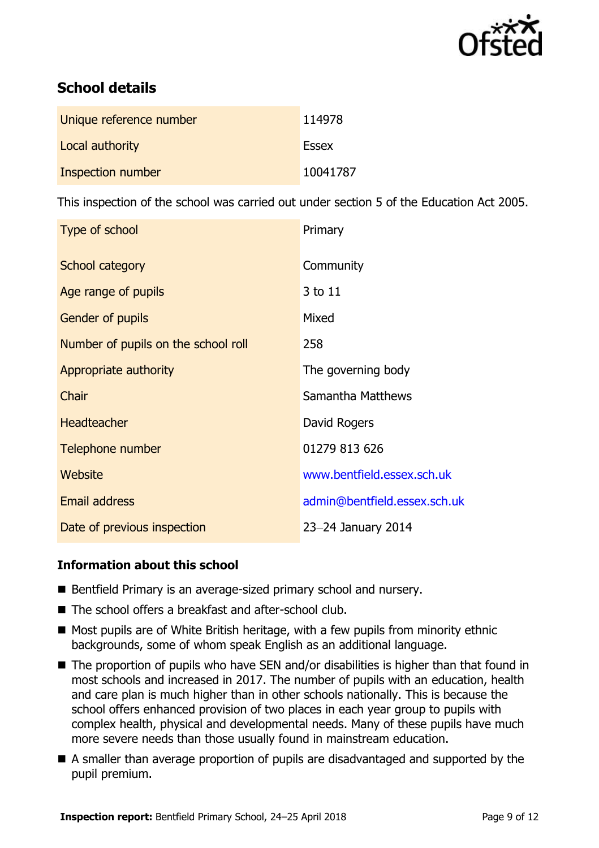

# **School details**

| Unique reference number  | 114978       |
|--------------------------|--------------|
| Local authority          | <b>Essex</b> |
| <b>Inspection number</b> | 10041787     |

This inspection of the school was carried out under section 5 of the Education Act 2005.

| Type of school                      | Primary                      |
|-------------------------------------|------------------------------|
| School category                     | Community                    |
| Age range of pupils                 | 3 to 11                      |
| Gender of pupils                    | Mixed                        |
| Number of pupils on the school roll | 258                          |
| Appropriate authority               | The governing body           |
| Chair                               | Samantha Matthews            |
| <b>Headteacher</b>                  | David Rogers                 |
| Telephone number                    | 01279 813 626                |
| Website                             | www.bentfield.essex.sch.uk   |
| <b>Email address</b>                | admin@bentfield.essex.sch.uk |
| Date of previous inspection         | 23-24 January 2014           |

#### **Information about this school**

- Bentfield Primary is an average-sized primary school and nursery.
- The school offers a breakfast and after-school club.
- Most pupils are of White British heritage, with a few pupils from minority ethnic backgrounds, some of whom speak English as an additional language.
- The proportion of pupils who have SEN and/or disabilities is higher than that found in most schools and increased in 2017. The number of pupils with an education, health and care plan is much higher than in other schools nationally. This is because the school offers enhanced provision of two places in each year group to pupils with complex health, physical and developmental needs. Many of these pupils have much more severe needs than those usually found in mainstream education.
- A smaller than average proportion of pupils are disadvantaged and supported by the pupil premium.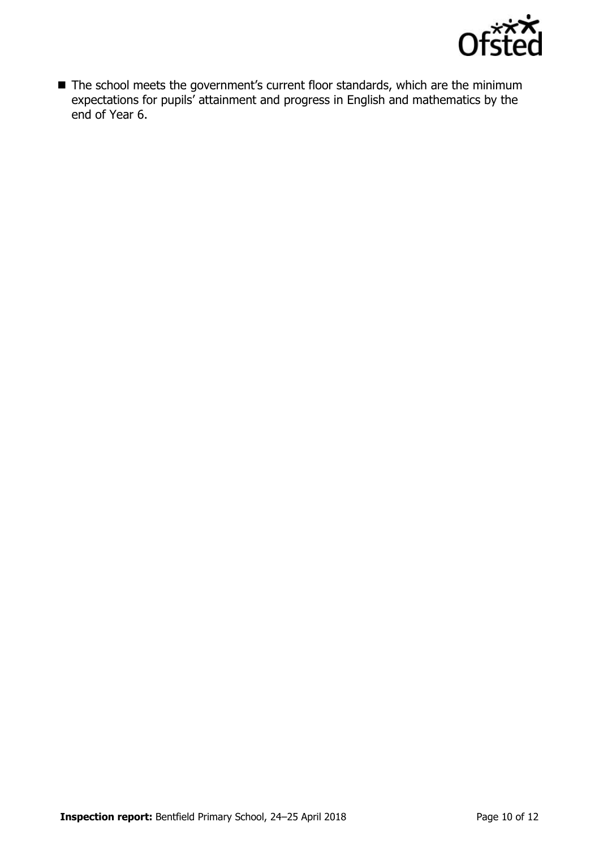

■ The school meets the government's current floor standards, which are the minimum expectations for pupils' attainment and progress in English and mathematics by the end of Year 6.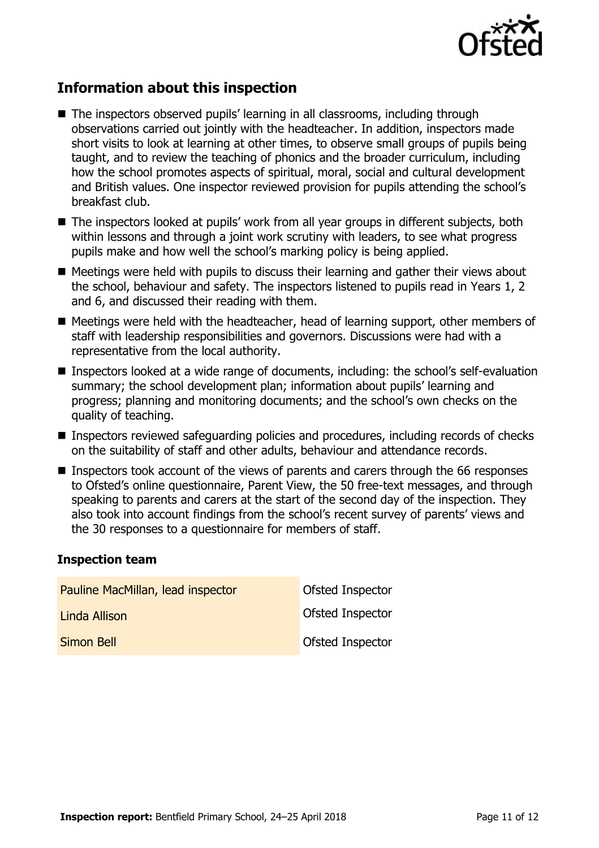

# **Information about this inspection**

- The inspectors observed pupils' learning in all classrooms, including through observations carried out jointly with the headteacher. In addition, inspectors made short visits to look at learning at other times, to observe small groups of pupils being taught, and to review the teaching of phonics and the broader curriculum, including how the school promotes aspects of spiritual, moral, social and cultural development and British values. One inspector reviewed provision for pupils attending the school's breakfast club.
- The inspectors looked at pupils' work from all year groups in different subjects, both within lessons and through a joint work scrutiny with leaders, to see what progress pupils make and how well the school's marking policy is being applied.
- $\blacksquare$  Meetings were held with pupils to discuss their learning and gather their views about the school, behaviour and safety. The inspectors listened to pupils read in Years 1, 2 and 6, and discussed their reading with them.
- Meetings were held with the headteacher, head of learning support, other members of staff with leadership responsibilities and governors. Discussions were had with a representative from the local authority.
- Inspectors looked at a wide range of documents, including: the school's self-evaluation summary; the school development plan; information about pupils' learning and progress; planning and monitoring documents; and the school's own checks on the quality of teaching.
- Inspectors reviewed safeguarding policies and procedures, including records of checks on the suitability of staff and other adults, behaviour and attendance records.
- **Inspectors took account of the views of parents and carers through the 66 responses** to Ofsted's online questionnaire, Parent View, the 50 free-text messages, and through speaking to parents and carers at the start of the second day of the inspection. They also took into account findings from the school's recent survey of parents' views and the 30 responses to a questionnaire for members of staff.

#### **Inspection team**

| Pauline MacMillan, lead inspector | Ofsted Inspector |
|-----------------------------------|------------------|
| Linda Allison                     | Ofsted Inspector |
| Simon Bell                        | Ofsted Inspector |